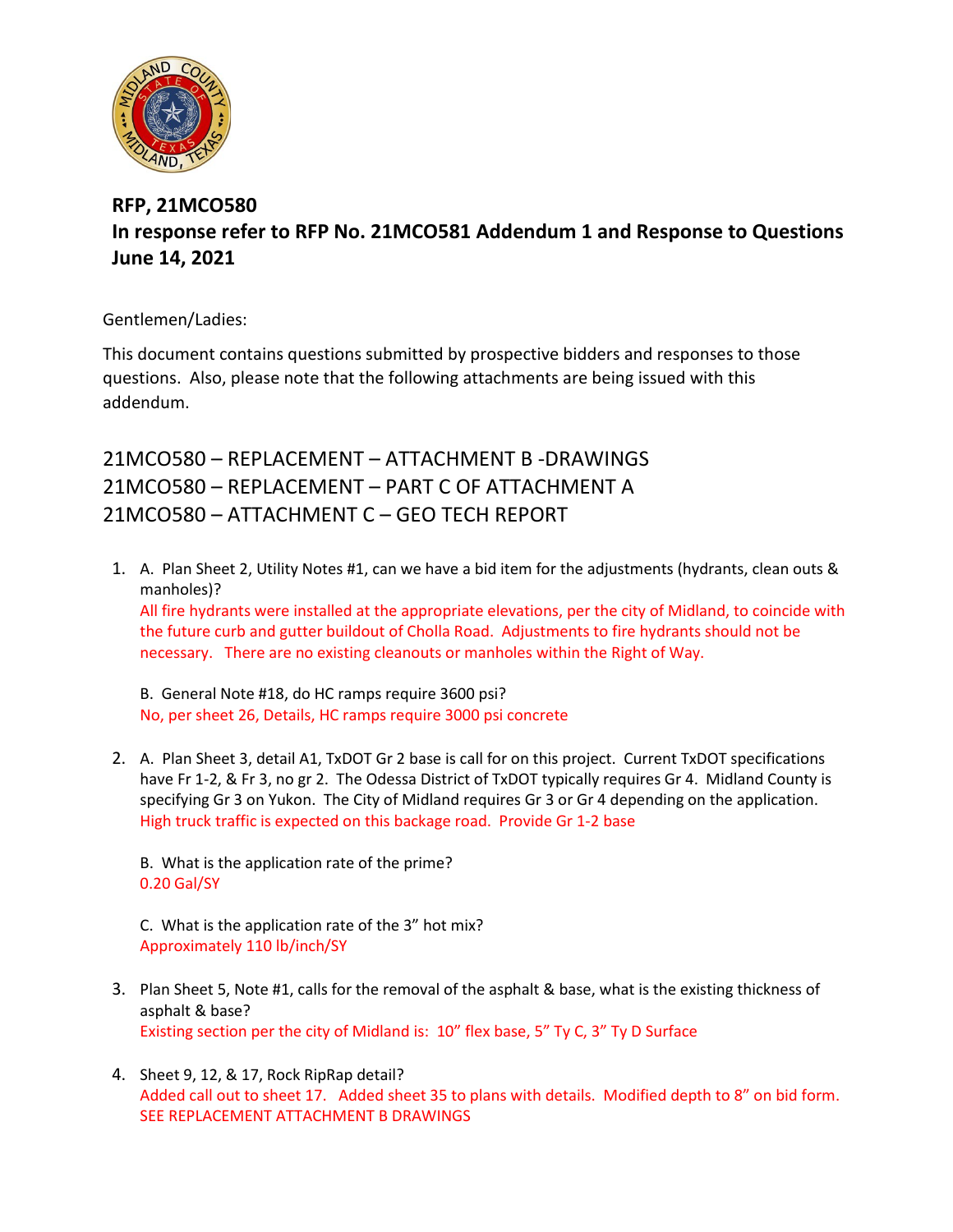

## **RFP, 21MCO580 In response refer to RFP No. 21MCO581 Addendum 1 and Response to Questions June 14, 2021**

Gentlemen/Ladies:

This document contains questions submitted by prospective bidders and responses to those questions. Also, please note that the following attachments are being issued with this addendum.

## 21MCO580 – REPLACEMENT – ATTACHMENT B -DRAWINGS 21MCO580 – REPLACEMENT – PART C OF ATTACHMENT A 21MCO580 – ATTACHMENT C – GEO TECH REPORT

1. A. Plan Sheet 2, Utility Notes #1, can we have a bid item for the adjustments (hydrants, clean outs & manholes)? All fire hydrants were installed at the appropriate elevations, per the city of Midland, to coincide with the future curb and gutter buildout of Cholla Road. Adjustments to fire hydrants should not be necessary. There are no existing cleanouts or manholes within the Right of Way.

B. General Note #18, do HC ramps require 3600 psi? No, per sheet 26, Details, HC ramps require 3000 psi concrete

2. A. Plan Sheet 3, detail A1, TxDOT Gr 2 base is call for on this project. Current TxDOT specifications have Fr 1-2, & Fr 3, no gr 2. The Odessa District of TxDOT typically requires Gr 4. Midland County is specifying Gr 3 on Yukon. The City of Midland requires Gr 3 or Gr 4 depending on the application. High truck traffic is expected on this backage road. Provide Gr 1-2 base

B. What is the application rate of the prime? 0.20 Gal/SY

C. What is the application rate of the 3" hot mix? Approximately 110 lb/inch/SY

- 3. Plan Sheet 5, Note #1, calls for the removal of the asphalt & base, what is the existing thickness of asphalt & base? Existing section per the city of Midland is: 10" flex base, 5" Ty C, 3" Ty D Surface
- 4. Sheet 9, 12, & 17, Rock RipRap detail? Added call out to sheet 17. Added sheet 35 to plans with details. Modified depth to 8" on bid form. SEE REPLACEMENT ATTACHMENT B DRAWINGS